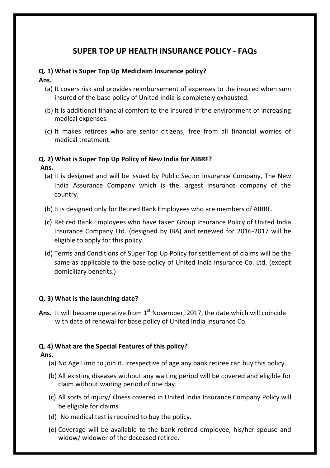## **SUPER TOP UP HEALTH INSURANCE POLICY - FAQs**

#### **Q. 1) What is Super Top Up Mediclaim Insurance policy?**

#### **Ans.**

- (a) It covers risk and provides reimbursement of expenses to the insured when sum insured of the base policy of United India is completely exhausted.
- (b) It is additional financial comfort to the insured in the environment of increasing medical expenses.
- (c) It makes retirees who are senior citizens, free from all financial worries of medical treatment.

#### **Q. 2) What is Super Top Up Policy of New India for AIBRF?**

#### **Ans.**

- (a) It is designed and will be issued by Public Sector Insurance Company, The New India Assurance Company which is the largest insurance company of the country.
- (b) It is designed only for Retired Bank Employees who are members of AIBRF.
- (c) Retired Bank Employees who have taken Group Insurance Policy of United India Insurance Company Ltd. (designed by IBA) and renewed for 2016-2017 will be eligible to apply for this policy.
- (d) Terms and Conditions of Super Top Up Policy for settlement of claims will be the same as applicable to the base policy of United India Insurance Co. Ltd. (except domiciliary benefits.)

#### **Q. 3) What is the launching date?**

Ans. It will become operative from 1<sup>st</sup> November, 2017, the date which will coincide with date of renewal for base policy of United India Insurance Co.

## **Q. 4) What are the Special Features of this policy?**

#### **Ans.**

- (a) No Age Limit to join it. Irrespective of age any bank retiree can buy this policy.
- (b) All existing diseases without any waiting period will be covered and eligible for claim without waiting period of one day.
- (c) All sorts of injury/ illness covered in United India Insurance Company Policy will be eligible for claims.
- (d) No medical test is required to buy the policy.
- (e) Coverage will be available to the bank retired employee, his/her spouse and widow/ widower of the deceased retiree.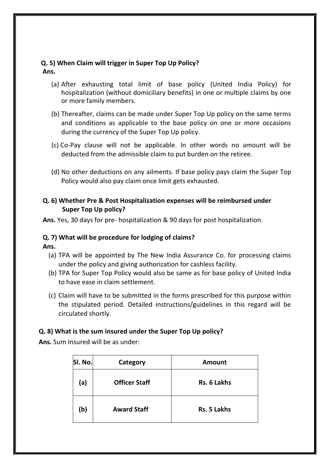#### **Q. 5) When Claim will trigger in Super Top Up Policy? Ans.**

- (a) After exhausting total limit of base policy (United India Policy) for hospitalization (without domiciliary benefits) in one or multiple claims by one or more family members.
- (b) Thereafter, claims can be made under Super Top Up policy on the same terms and conditions as applicable to the base policy on one or more occasions during the currency of the Super Top Up policy.
- (c) Co-Pay clause will not be applicable. In other words no amount will be deducted from the admissible claim to put burden on the retiree.
- (d) No other deductions on any ailments. If base policy pays claim the Super Top Policy would also pay claim once limit gets exhausted.

## **Q. 6) Whether Pre & Post Hospitalization expenses will be reimbursed under Super Top Up policy?**

**Ans.** Yes, 30 days for pre- hospitalization & 90 days for post hospitalization.

## **Q. 7) What will be procedure for lodging of claims?**

**Ans.**

- (a) TPA will be appointed by The New India Assurance Co. for processing claims under the policy and giving authorization for cashless facility.
- (b) TPA for Super Top Policy would also be same as for base policy of United India to have ease in claim settlement.
- (c) Claim will have to be submitted in the forms prescribed for this purpose within the stipulated period. Detailed instructions/guidelines in this regard will be circulated shortly.

## **Q. 8) What is the sum insured under the Super Top Up policy?**

**Ans.** Sum Insured will be as under:

| SI. No. | Category             | <b>Amount</b>      |
|---------|----------------------|--------------------|
| (a)     | <b>Officer Staff</b> | <b>Rs. 6 Lakhs</b> |
| (b)     | <b>Award Staff</b>   | <b>Rs. 5 Lakhs</b> |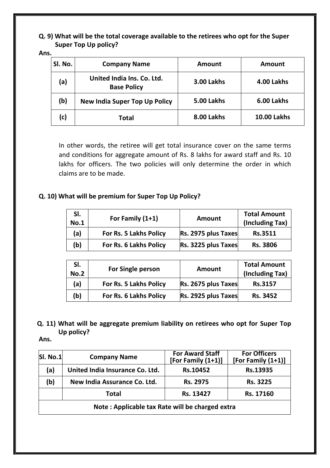**Q. 9) What will be the total coverage available to the retirees who opt for the Super Super Top Up policy?**

**Ans.**

| SI. No. | <b>Company Name</b>                              | Amount            | <b>Amount</b>      |
|---------|--------------------------------------------------|-------------------|--------------------|
| (a)     | United India Ins. Co. Ltd.<br><b>Base Policy</b> | <b>3.00 Lakhs</b> | 4.00 Lakhs         |
| (b)     | <b>New India Super Top Up Policy</b>             | 5.00 Lakhs        | 6.00 Lakhs         |
| (c)     | <b>Total</b>                                     | 8.00 Lakhs        | <b>10.00 Lakhs</b> |

In other words, the retiree will get total insurance cover on the same terms and conditions for aggregate amount of Rs. 8 lakhs for award staff and Rs. 10 lakhs for officers. The two policies will only determine the order in which claims are to be made.

## **Q. 10) What will be premium for Super Top Up Policy?**

| SI.<br><b>No.1</b> | For Family $(1+1)$     | Amount              | <b>Total Amount</b><br>(Including Tax) |
|--------------------|------------------------|---------------------|----------------------------------------|
| (a)                | For Rs. 5 Lakhs Policy | Rs. 2975 plus Taxes | <b>Rs.3511</b>                         |
| (b)                | For Rs. 6 Lakhs Policy | Rs. 3225 plus Taxes | <b>Rs. 3806</b>                        |

| SI.<br><b>No.2</b> | <b>For Single person</b>      | <b>Amount</b>       | <b>Total Amount</b><br>(Including Tax) |
|--------------------|-------------------------------|---------------------|----------------------------------------|
| (a)                | <b>For Rs. 5 Lakhs Policy</b> | Rs. 2675 plus Taxes | <b>Rs.3157</b>                         |
| (b)                | For Rs. 6 Lakhs Policy        | Rs. 2925 plus Taxes | Rs. 3452                               |

## **Q. 11) What will be aggregate premium liability on retirees who opt for Super Top Up policy?**

**Ans.**

| SI. No.1 | <b>Company Name</b>                             | <b>For Award Staff</b><br>[For Family $(1+1)$ ] | <b>For Officers</b><br>[For Family $(1+1)$ ] |
|----------|-------------------------------------------------|-------------------------------------------------|----------------------------------------------|
| (a)      | United India Insurance Co. Ltd.                 | Rs.10452                                        | Rs.13935                                     |
| (b)      | New India Assurance Co. Ltd.                    | Rs. 2975                                        | Rs. 3225                                     |
|          | <b>Total</b>                                    | Rs. 13427                                       | Rs. 17160                                    |
|          | Note: Applicable tax Rate will be charged extra |                                                 |                                              |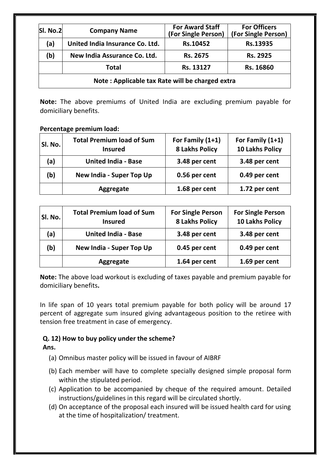| SI. No.2                                        | <b>Company Name</b>             | <b>For Award Staff</b><br>(For Single Person) | <b>For Officers</b><br>(For Single Person) |
|-------------------------------------------------|---------------------------------|-----------------------------------------------|--------------------------------------------|
| (a)                                             | United India Insurance Co. Ltd. | Rs.10452                                      | Rs.13935                                   |
| (b)                                             | New India Assurance Co. Ltd.    | Rs. 2675                                      | Rs. 2925                                   |
|                                                 | <b>Total</b>                    | Rs. 13127                                     | Rs. 16860                                  |
| Note: Applicable tax Rate will be charged extra |                                 |                                               |                                            |

**Note:** The above premiums of United India are excluding premium payable for domiciliary benefits.

#### **Percentage premium load:**

| <b>SI. No.</b> | <b>Total Premium load of Sum</b><br><b>Insured</b> | For Family (1+1)<br><b>8 Lakhs Policy</b> | For Family $(1+1)$<br><b>10 Lakhs Policy</b> |
|----------------|----------------------------------------------------|-------------------------------------------|----------------------------------------------|
| (a)            | <b>United India - Base</b>                         | 3.48 per cent                             | 3.48 per cent                                |
| (b)            | New India - Super Top Up                           | 0.56 per cent                             | 0.49 per cent                                |
|                | <b>Aggregate</b>                                   | 1.68 per cent                             | 1.72 per cent                                |

| SI. No. | <b>Total Premium load of Sum</b><br><b>Insured</b> | <b>For Single Person</b><br><b>8 Lakhs Policy</b> | <b>For Single Person</b><br><b>10 Lakhs Policy</b> |
|---------|----------------------------------------------------|---------------------------------------------------|----------------------------------------------------|
| (a)     | <b>United India - Base</b>                         | 3.48 per cent                                     | 3.48 per cent                                      |
| (b)     | New India - Super Top Up                           | 0.45 per cent                                     | 0.49 per cent                                      |
|         | Aggregate                                          | 1.64 per cent                                     | 1.69 per cent                                      |

**Note:** The above load workout is excluding of taxes payable and premium payable for domiciliary benefits**.**

In life span of 10 years total premium payable for both policy will be around 17 percent of aggregate sum insured giving advantageous position to the retiree with tension free treatment in case of emergency.

## **Q. 12) How to buy policy under the scheme?**

**Ans.**

- (a) Omnibus master policy will be issued in favour of AIBRF
- (b) Each member will have to complete specially designed simple proposal form within the stipulated period.
- (c) Application to be accompanied by cheque of the required amount. Detailed instructions/guidelines in this regard will be circulated shortly.
- (d) On acceptance of the proposal each insured will be issued health card for using at the time of hospitalization/ treatment.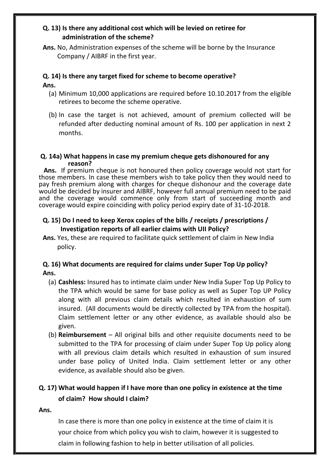### **Q. 13) Is there any additional cost which will be levied on retiree for administration of the scheme?**

**Ans.** No, Administration expenses of the scheme will be borne by the Insurance Company / AIBRF in the first year.

#### **Q. 14) Is there any target fixed for scheme to become operative?**

#### **Ans.**

- (a) Minimum 10,000 applications are required before 10.10.2017 from the eligible retirees to become the scheme operative.
- (b) In case the target is not achieved, amount of premium collected will be refunded after deducting nominal amount of Rs. 100 per application in next 2 months.

#### **Q. 14a) What happens in case my premium cheque gets dishonoured for any reason?**

 **Ans.** If premium cheque is not honoured then policy coverage would not start for those members. In case these members wish to take policy then they would need to pay fresh premium along with charges for cheque dishonour and the coverage date would be decided by insurer and AIBRF, however full annual premium need to be paid and the coverage would commence only from start of succeeding month and coverage would expire coinciding with policy period expiry date of 31-10-2018.

### **Q. 15) Do I need to keep Xerox copies of the bills / receipts / prescriptions / Investigation reports of all earlier claims with UII Policy?**

**Ans.** Yes, these are required to facilitate quick settlement of claim in New India policy.

#### **Q. 16) What documents are required for claims under Super Top Up policy? Ans.**

- (a) **Cashless:** Insured has to intimate claim under New India Super Top Up Policy to the TPA which would be same for base policy as well as Super Top UP Policy along with all previous claim details which resulted in exhaustion of sum insured. (All documents would be directly collected by TPA from the hospital). Claim settlement letter or any other evidence, as available should also be given.
- (b) **Reimbursement** All original bills and other requisite documents need to be submitted to the TPA for processing of claim under Super Top Up policy along with all previous claim details which resulted in exhaustion of sum insured under base policy of United India. Claim settlement letter or any other evidence, as available should also be given.

# **Q. 17) What would happen if I have more than one policy in existence at the time of claim? How should I claim?**

#### **Ans.**

In case there is more than one policy in existence at the time of claim it is your choice from which policy you wish to claim, however it is suggested to claim in following fashion to help in better utilisation of all policies.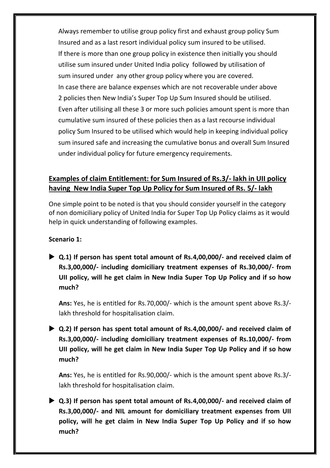Always remember to utilise group policy first and exhaust group policy Sum Insured and as a last resort individual policy sum insured to be utilised. If there is more than one group policy in existence then initially you should utilise sum insured under United India policy followed by utilisation of sum insured under any other group policy where you are covered. In case there are balance expenses which are not recoverable under above 2 policies then New India's Super Top Up Sum Insured should be utilised. Even after utilising all these 3 or more such policies amount spent is more than cumulative sum insured of these policies then as a last recourse individual policy Sum Insured to be utilised which would help in keeping individual policy sum insured safe and increasing the cumulative bonus and overall Sum Insured under individual policy for future emergency requirements.

## **Examples of claim Entitlement: for Sum Insured of Rs.3/- lakh in UII policy having New India Super Top Up Policy for Sum Insured of Rs. 5/- lakh**

One simple point to be noted is that you should consider yourself in the category of non domiciliary policy of United India for Super Top Up Policy claims as it would help in quick understanding of following examples.

## **Scenario 1:**

 **Q.1) If person has spent total amount of Rs.4,00,000/- and received claim of Rs.3,00,000/- including domiciliary treatment expenses of Rs.30,000/- from UII policy, will he get claim in New India Super Top Up Policy and if so how much?** 

**Ans:** Yes, he is entitled for Rs.70,000/- which is the amount spent above Rs.3/ lakh threshold for hospitalisation claim.

 **Q.2) If person has spent total amount of Rs.4,00,000/- and received claim of Rs.3,00,000/- including domiciliary treatment expenses of Rs.10,000/- from UII policy, will he get claim in New India Super Top Up Policy and if so how much?**

**Ans:** Yes, he is entitled for Rs.90,000/- which is the amount spent above Rs.3/ lakh threshold for hospitalisation claim.

 **Q.3) If person has spent total amount of Rs.4,00,000/- and received claim of Rs.3,00,000/- and NIL amount for domiciliary treatment expenses from UII policy, will he get claim in New India Super Top Up Policy and if so how much?**